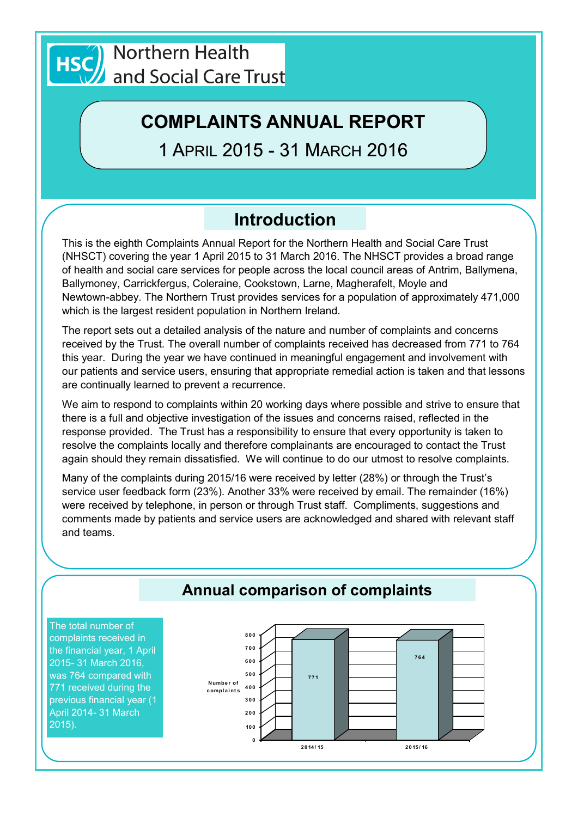

# **COMPLAINTS ANNUAL REPORT**

1 APRIL 2015 - 31 MARCH 2016

# **Introduction**

This is the eighth Complaints Annual Report for the Northern Health and Social Care Trust (NHSCT) covering the year 1 April 2015 to 31 March 2016. The NHSCT provides a broad range of health and social care services for people across the local council areas of Antrim, Ballymena, Ballymoney, Carrickfergus, Coleraine, Cookstown, Larne, Magherafelt, Moyle and Newtown-abbey. The Northern Trust provides services for a population of approximately 471,000 which is the largest resident population in Northern Ireland.

The report sets out a detailed analysis of the nature and number of complaints and concerns received by the Trust. The overall number of complaints received has decreased from 771 to 764 this year. During the year we have continued in meaningful engagement and involvement with our patients and service users, ensuring that appropriate remedial action is taken and that lessons are continually learned to prevent a recurrence.

We aim to respond to complaints within 20 working days where possible and strive to ensure that there is a full and objective investigation of the issues and concerns raised, reflected in the response provided. The Trust has a responsibility to ensure that every opportunity is taken to resolve the complaints locally and therefore complainants are encouraged to contact the Trust again should they remain dissatisfied. We will continue to do our utmost to resolve complaints.

Many of the complaints during 2015/16 were received by letter (28%) or through the Trust's service user feedback form (23%). Another 33% were received by email. The remainder (16%) were received by telephone, in person or through Trust staff. Compliments, suggestions and comments made by patients and service users are acknowledged and shared with relevant staff and teams.

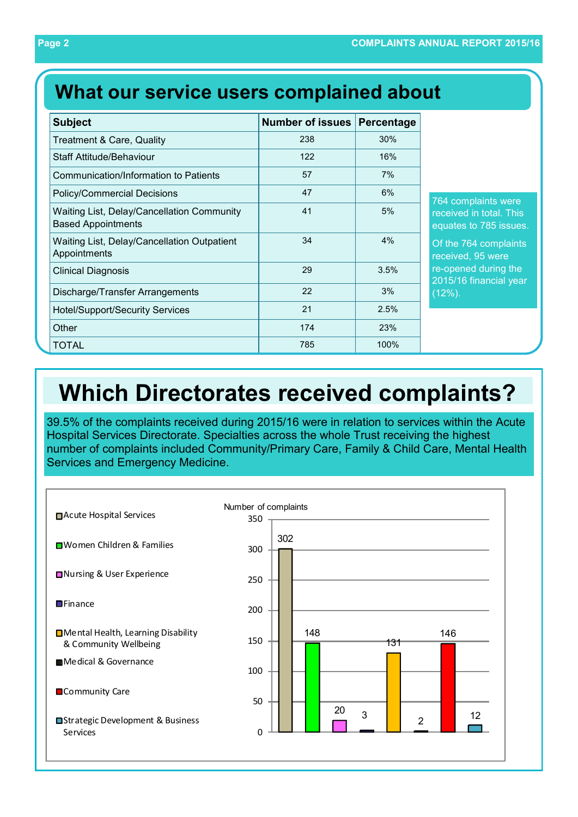# **What our service users complained about**

| <b>Subject</b>                                                          | <b>Number of issues</b> | Percentage |
|-------------------------------------------------------------------------|-------------------------|------------|
| <b>Treatment &amp; Care, Quality</b>                                    | 238                     | 30%        |
| <b>Staff Attitude/Behaviour</b>                                         | 122                     | 16%        |
| Communication/Information to Patients                                   | 57                      | 7%         |
| <b>Policy/Commercial Decisions</b>                                      | 47                      | 6%         |
| Waiting List, Delay/Cancellation Community<br><b>Based Appointments</b> | 41                      | 5%         |
| Waiting List, Delay/Cancellation Outpatient<br>Appointments             | 34                      | 4%         |
| <b>Clinical Diagnosis</b>                                               | 29                      | 3.5%       |
| Discharge/Transfer Arrangements                                         | 22                      | 3%         |
| <b>Hotel/Support/Security Services</b>                                  | 21                      | 2.5%       |
| Other                                                                   | 174                     | 23%        |
| TOTAL                                                                   | 785                     | 100%       |

764 complaints were received in total. This equates to 785 issues.

Of the 764 complaints received, 95 were re-opened during the 2015/16 financial year (12%).

# **Which Directorates received complaints?**

39.5% of the complaints received during 2015/16 were in relation to services within the Acute Hospital Services Directorate. Specialties across the whole Trust receiving the highest number of complaints included Community/Primary Care, Family & Child Care, Mental Health Services and Emergency Medicine.

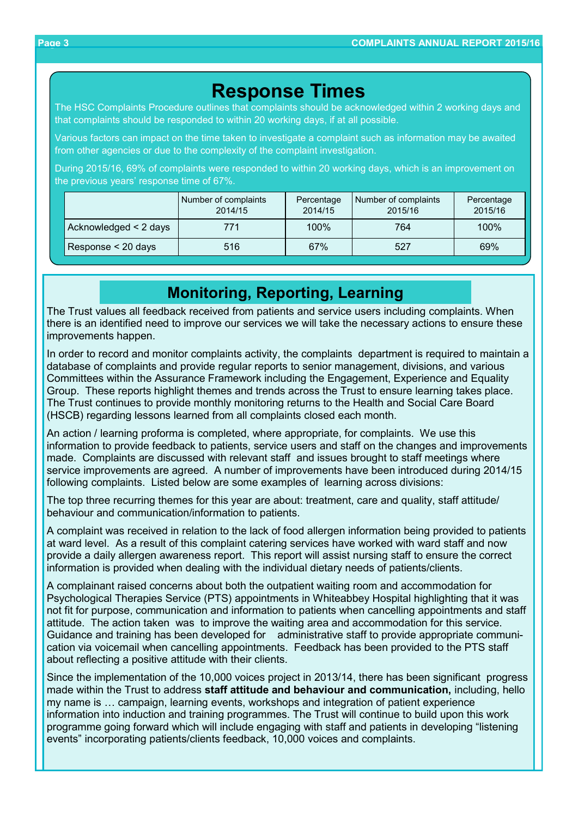## **Response Times**

The HSC Complaints Procedure outlines that complaints should be acknowledged within 2 working days and that complaints should be responded to within 20 working days, if at all possible.

Various factors can impact on the time taken to investigate a complaint such as information may be awaited from other agencies or due to the complexity of the complaint investigation.

During 2015/16, 69% of complaints were responded to within 20 working days, which is an improvement on the previous years' response time of 67%.

|                       | Number of complaints<br>2014/15 | Percentage<br>2014/15 | Number of complaints<br>2015/16 | Percentage<br>2015/16 |
|-----------------------|---------------------------------|-----------------------|---------------------------------|-----------------------|
| Acknowledged < 2 days | 771                             | 100%                  | 764                             | 100%                  |
| Response < 20 days    | 516                             | 67%                   | 527                             | 69%                   |

## **Monitoring, Reporting, Learning**

The Trust values all feedback received from patients and service users including complaints. When there is an identified need to improve our services we will take the necessary actions to ensure these improvements happen.

In order to record and monitor complaints activity, the complaints department is required to maintain a database of complaints and provide regular reports to senior management, divisions, and various Committees within the Assurance Framework including the Engagement, Experience and Equality Group. These reports highlight themes and trends across the Trust to ensure learning takes place. The Trust continues to provide monthly monitoring returns to the Health and Social Care Board (HSCB) regarding lessons learned from all complaints closed each month.

An action / learning proforma is completed, where appropriate, for complaints. We use this information to provide feedback to patients, service users and staff on the changes and improvements made. Complaints are discussed with relevant staff and issues brought to staff meetings where service improvements are agreed. A number of improvements have been introduced during 2014/15 following complaints. Listed below are some examples of learning across divisions:

The top three recurring themes for this year are about: treatment, care and quality, staff attitude/ behaviour and communication/information to patients.

A complaint was received in relation to the lack of food allergen information being provided to patients at ward level. As a result of this complaint catering services have worked with ward staff and now provide a daily allergen awareness report. This report will assist nursing staff to ensure the correct information is provided when dealing with the individual dietary needs of patients/clients.

A complainant raised concerns about both the outpatient waiting room and accommodation for Psychological Therapies Service (PTS) appointments in Whiteabbey Hospital highlighting that it was not fit for purpose, communication and information to patients when cancelling appointments and staff attitude. The action taken was to improve the waiting area and accommodation for this service. Guidance and training has been developed for administrative staff to provide appropriate communication via voicemail when cancelling appointments. Feedback has been provided to the PTS staff about reflecting a positive attitude with their clients.

Since the implementation of the 10,000 voices project in 2013/14, there has been significant progress made within the Trust to address **staff attitude and behaviour and communication,** including, hello my name is … campaign, learning events, workshops and integration of patient experience information into induction and training programmes. The Trust will continue to build upon this work programme going forward which will include engaging with staff and patients in developing "listening events" incorporating patients/clients feedback, 10,000 voices and complaints.